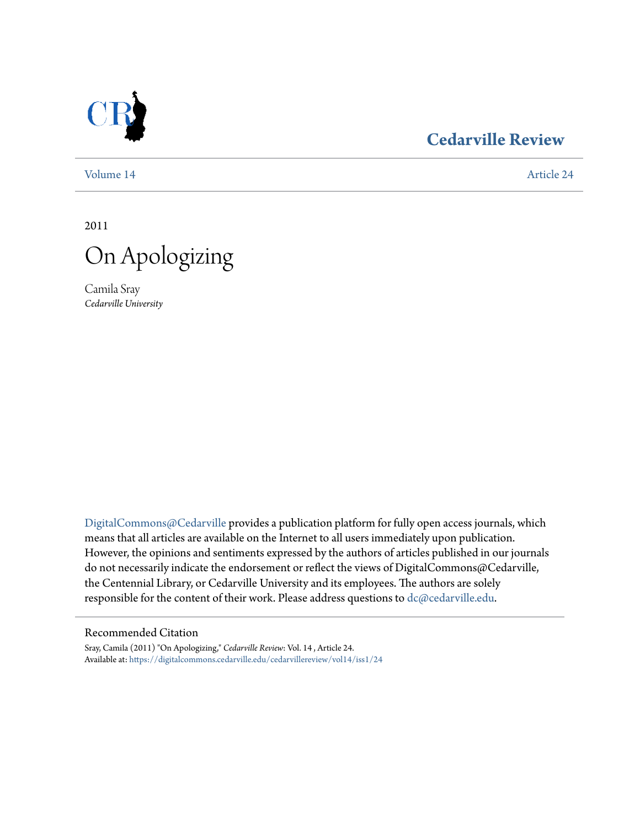

## **[Cedarville Review](https://digitalcommons.cedarville.edu/cedarvillereview?utm_source=digitalcommons.cedarville.edu%2Fcedarvillereview%2Fvol14%2Fiss1%2F24&utm_medium=PDF&utm_campaign=PDFCoverPages)**

[Volume 14](https://digitalcommons.cedarville.edu/cedarvillereview/vol14?utm_source=digitalcommons.cedarville.edu%2Fcedarvillereview%2Fvol14%2Fiss1%2F24&utm_medium=PDF&utm_campaign=PDFCoverPages) [Article 24](https://digitalcommons.cedarville.edu/cedarvillereview/vol14/iss1/24?utm_source=digitalcommons.cedarville.edu%2Fcedarvillereview%2Fvol14%2Fiss1%2F24&utm_medium=PDF&utm_campaign=PDFCoverPages)

2011



Camila Sray *Cedarville University*

[DigitalCommons@Cedarville](http://digitalcommons.cedarville.edu) provides a publication platform for fully open access journals, which means that all articles are available on the Internet to all users immediately upon publication. However, the opinions and sentiments expressed by the authors of articles published in our journals do not necessarily indicate the endorsement or reflect the views of DigitalCommons@Cedarville, the Centennial Library, or Cedarville University and its employees. The authors are solely responsible for the content of their work. Please address questions to [dc@cedarville.edu](mailto:dc@cedarville.edu).

#### Recommended Citation

Sray, Camila (2011) "On Apologizing," *Cedarville Review*: Vol. 14 , Article 24. Available at: [https://digitalcommons.cedarville.edu/cedarvillereview/vol14/iss1/24](https://digitalcommons.cedarville.edu/cedarvillereview/vol14/iss1/24?utm_source=digitalcommons.cedarville.edu%2Fcedarvillereview%2Fvol14%2Fiss1%2F24&utm_medium=PDF&utm_campaign=PDFCoverPages)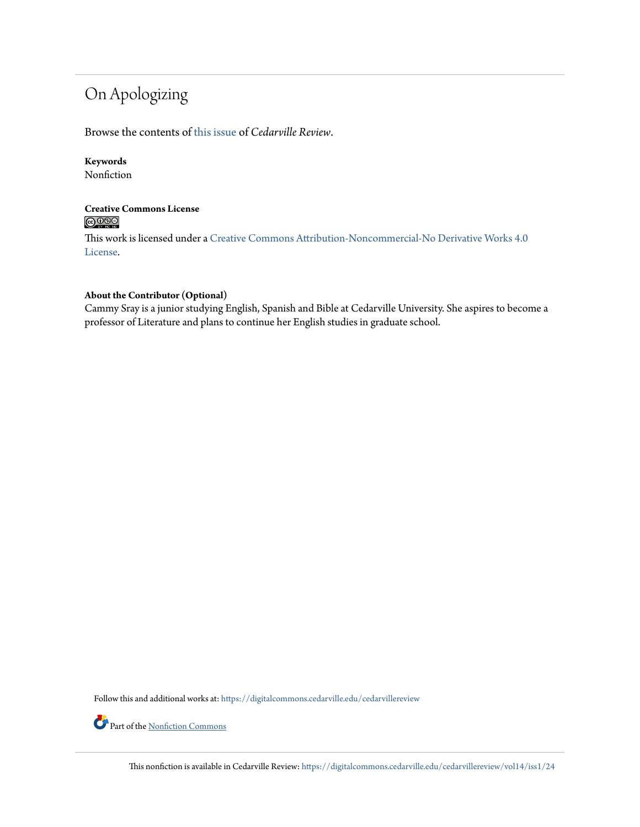# On Apologizing

Browse the contents of [this issue](https://digitalcommons.cedarville.edu/cedarvillereview/vol14/iss1) of *Cedarville Review*.

### **Keywords**

Nonfiction

#### **Creative Commons License**  $\bigcirc$   $\circ$

This work is licensed under a [Creative Commons Attribution-Noncommercial-No Derivative Works 4.0](http://creativecommons.org/licenses/by-nc-nd/4.0/) [License.](http://creativecommons.org/licenses/by-nc-nd/4.0/)

#### **About the Contributor (Optional)**

Cammy Sray is a junior studying English, Spanish and Bible at Cedarville University. She aspires to become a professor of Literature and plans to continue her English studies in graduate school.

Follow this and additional works at: [https://digitalcommons.cedarville.edu/cedarvillereview](https://digitalcommons.cedarville.edu/cedarvillereview?utm_source=digitalcommons.cedarville.edu%2Fcedarvillereview%2Fvol14%2Fiss1%2F24&utm_medium=PDF&utm_campaign=PDFCoverPages)

Part of the <u>[Nonfiction Commons](http://network.bepress.com/hgg/discipline/1152?utm_source=digitalcommons.cedarville.edu%2Fcedarvillereview%2Fvol14%2Fiss1%2F24&utm_medium=PDF&utm_campaign=PDFCoverPages)</u>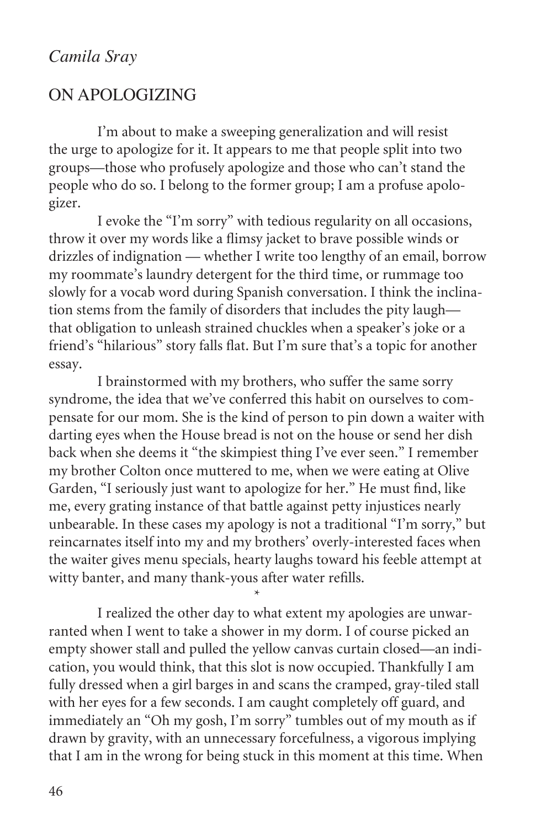## On Apologizing

I'm about to make a sweeping generalization and will resist the urge to apologize for it. It appears to me that people split into two groups—those who profusely apologize and those who can't stand the people who do so. I belong to the former group; I am a profuse apologizer.

I evoke the "I'm sorry" with tedious regularity on all occasions, throw it over my words like a flimsy jacket to brave possible winds or drizzles of indignation — whether I write too lengthy of an email, borrow my roommate's laundry detergent for the third time, or rummage too slowly for a vocab word during Spanish conversation. I think the inclination stems from the family of disorders that includes the pity laugh that obligation to unleash strained chuckles when a speaker's joke or a friend's "hilarious" story falls flat. But I'm sure that's a topic for another essay.

I brainstormed with my brothers, who suffer the same sorry syndrome, the idea that we've conferred this habit on ourselves to compensate for our mom. She is the kind of person to pin down a waiter with darting eyes when the House bread is not on the house or send her dish back when she deems it "the skimpiest thing I've ever seen." I remember my brother Colton once muttered to me, when we were eating at Olive Garden, "I seriously just want to apologize for her." He must find, like me, every grating instance of that battle against petty injustices nearly unbearable. In these cases my apology is not a traditional "I'm sorry," but reincarnates itself into my and my brothers' overly-interested faces when the waiter gives menu specials, hearty laughs toward his feeble attempt at witty banter, and many thank-yous after water refills.

I realized the other day to what extent my apologies are unwarranted when I went to take a shower in my dorm. I of course picked an empty shower stall and pulled the yellow canvas curtain closed—an indication, you would think, that this slot is now occupied. Thankfully I am fully dressed when a girl barges in and scans the cramped, gray-tiled stall with her eyes for a few seconds. I am caught completely off guard, and immediately an "Oh my gosh, I'm sorry" tumbles out of my mouth as if drawn by gravity, with an unnecessary forcefulness, a vigorous implying that I am in the wrong for being stuck in this moment at this time. When

 $\star$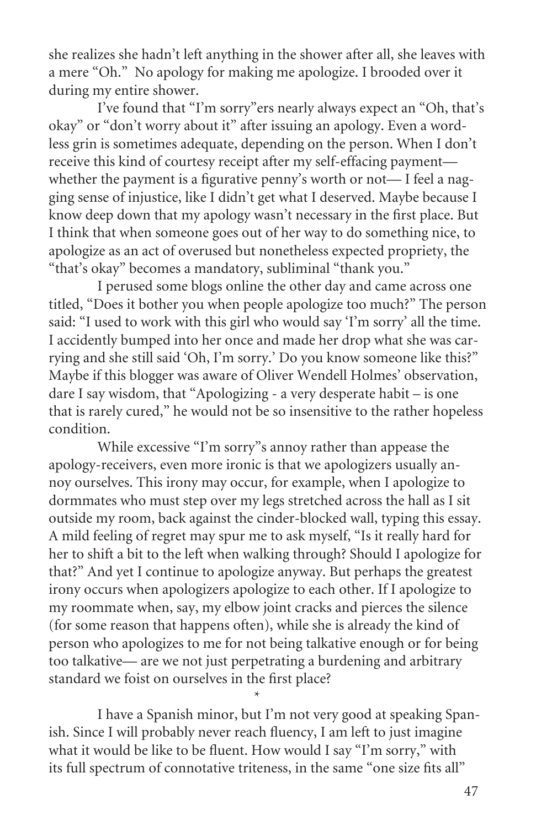she realizes she hadn't left anything in the shower after all, she leaves with a mere "Oh." No apology for making me apologize. I brooded over it during my entire shower.

I've found that "I'm sorry"ers nearly always expect an "Oh, that's okay" or "don't worry about it" after issuing an apology. Even a wordless grin is sometimes adequate, depending on the person. When I don't receive this kind of courtesy receipt after my self-effacing payment whether the payment is a figurative penny's worth or not—I feel a nagging sense of injustice, like I didn't get what I deserved. Maybe because I know deep down that my apology wasn't necessary in the first place. But I think that when someone goes out of her way to do something nice, to apologize as an act of overused but nonetheless expected propriety, the "that's okay" becomes a mandatory, subliminal "thank you."

I perused some blogs online the other day and came across one titled, "Does it bother you when people apologize too much?" The person said: "I used to work with this girl who would say 'I'm sorry' all the time. I accidently bumped into her once and made her drop what she was carrying and she still said 'Oh, I'm sorry.' Do you know someone like this?" Maybe if this blogger was aware of Oliver Wendell Holmes' observation, dare I say wisdom, that "Apologizing - a very desperate habit – is one that is rarely cured," he would not be so insensitive to the rather hopeless condition.

While excessive "I'm sorry"s annoy rather than appease the apology-receivers, even more ironic is that we apologizers usually annoy ourselves. This irony may occur, for example, when I apologize to dormmates who must step over my legs stretched across the hall as I sit outside my room, back against the cinder-blocked wall, typing this essay. A mild feeling of regret may spur me to ask myself, "Is it really hard for her to shift a bit to the left when walking through? Should I apologize for that?" And yet I continue to apologize anyway. But perhaps the greatest irony occurs when apologizers apologize to each other. If I apologize to my roommate when, say, my elbow joint cracks and pierces the silence (for some reason that happens often), while she is already the kind of person who apologizes to me for not being talkative enough or for being too talkative— are we not just perpetrating a burdening and arbitrary standard we foist on ourselves in the first place?

I have a Spanish minor, but I'm not very good at speaking Spanish. Since I will probably never reach fluency, I am left to just imagine what it would be like to be fluent. How would I say "I'm sorry," with its full spectrum of connotative triteness, in the same "one size fits all"

 $\star$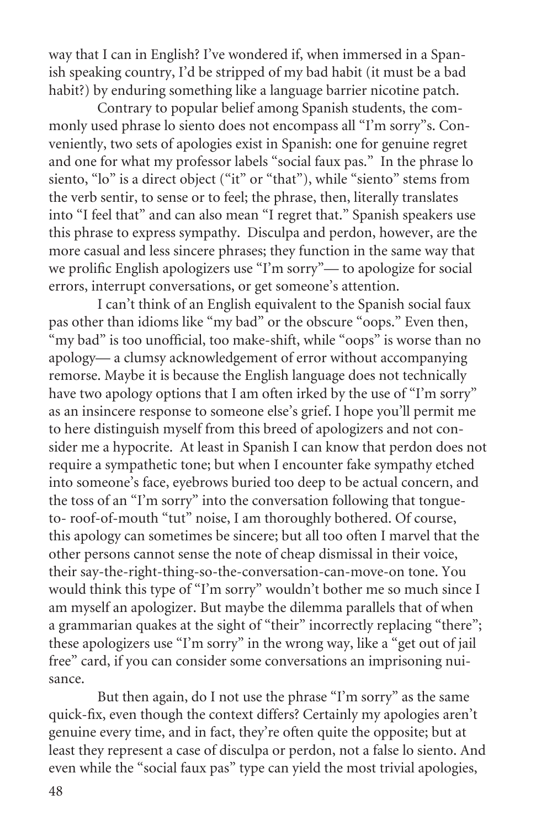way that I can in English? I've wondered if, when immersed in a Spanish speaking country, I'd be stripped of my bad habit (it must be a bad habit?) by enduring something like a language barrier nicotine patch.

Contrary to popular belief among Spanish students, the commonly used phrase lo siento does not encompass all "I'm sorry"s. Conveniently, two sets of apologies exist in Spanish: one for genuine regret and one for what my professor labels "social faux pas." In the phrase lo siento, "lo" is a direct object ("it" or "that"), while "siento" stems from the verb sentir, to sense or to feel; the phrase, then, literally translates into "I feel that" and can also mean "I regret that." Spanish speakers use this phrase to express sympathy. Disculpa and perdon, however, are the more casual and less sincere phrases; they function in the same way that we prolific English apologizers use "I'm sorry"— to apologize for social errors, interrupt conversations, or get someone's attention.

I can't think of an English equivalent to the Spanish social faux pas other than idioms like "my bad" or the obscure "oops." Even then, "my bad" is too unofficial, too make-shift, while "oops" is worse than no apology— a clumsy acknowledgement of error without accompanying remorse. Maybe it is because the English language does not technically have two apology options that I am often irked by the use of "I'm sorry" as an insincere response to someone else's grief. I hope you'll permit me to here distinguish myself from this breed of apologizers and not consider me a hypocrite. At least in Spanish I can know that perdon does not require a sympathetic tone; but when I encounter fake sympathy etched into someone's face, eyebrows buried too deep to be actual concern, and the toss of an "I'm sorry" into the conversation following that tongueto- roof-of-mouth "tut" noise, I am thoroughly bothered. Of course, this apology can sometimes be sincere; but all too often I marvel that the other persons cannot sense the note of cheap dismissal in their voice, their say-the-right-thing-so-the-conversation-can-move-on tone. You would think this type of "I'm sorry" wouldn't bother me so much since I am myself an apologizer. But maybe the dilemma parallels that of when a grammarian quakes at the sight of "their" incorrectly replacing "there"; these apologizers use "I'm sorry" in the wrong way, like a "get out of jail free" card, if you can consider some conversations an imprisoning nuisance.

But then again, do I not use the phrase "I'm sorry" as the same quick-fix, even though the context differs? Certainly my apologies aren't genuine every time, and in fact, they're often quite the opposite; but at least they represent a case of disculpa or perdon, not a false lo siento. And even while the "social faux pas" type can yield the most trivial apologies,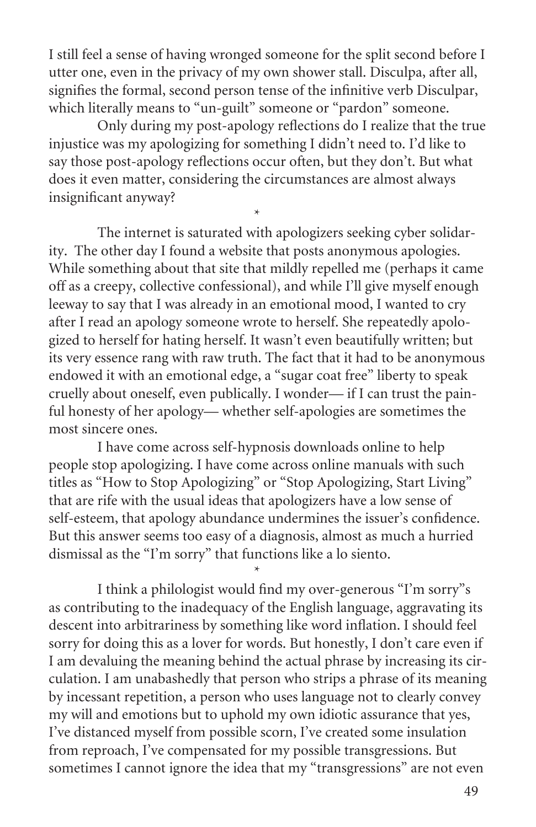I still feel a sense of having wronged someone for the split second before I utter one, even in the privacy of my own shower stall. Disculpa, after all, signifies the formal, second person tense of the infinitive verb Disculpar, which literally means to "un-guilt" someone or "pardon" someone.

Only during my post-apology reflections do I realize that the true injustice was my apologizing for something I didn't need to. I'd like to say those post-apology reflections occur often, but they don't. But what does it even matter, considering the circumstances are almost always insignificant anyway?

 $\star$ 

 $\star$ 

The internet is saturated with apologizers seeking cyber solidarity. The other day I found a website that posts anonymous apologies. While something about that site that mildly repelled me (perhaps it came off as a creepy, collective confessional), and while I'll give myself enough leeway to say that I was already in an emotional mood, I wanted to cry after I read an apology someone wrote to herself. She repeatedly apologized to herself for hating herself. It wasn't even beautifully written; but its very essence rang with raw truth. The fact that it had to be anonymous endowed it with an emotional edge, a "sugar coat free" liberty to speak cruelly about oneself, even publically. I wonder— if I can trust the painful honesty of her apology— whether self-apologies are sometimes the most sincere ones.

I have come across self-hypnosis downloads online to help people stop apologizing. I have come across online manuals with such titles as "How to Stop Apologizing" or "Stop Apologizing, Start Living" that are rife with the usual ideas that apologizers have a low sense of self-esteem, that apology abundance undermines the issuer's confidence. But this answer seems too easy of a diagnosis, almost as much a hurried dismissal as the "I'm sorry" that functions like a lo siento.

I think a philologist would find my over-generous "I'm sorry"s as contributing to the inadequacy of the English language, aggravating its descent into arbitrariness by something like word inflation. I should feel sorry for doing this as a lover for words. But honestly, I don't care even if I am devaluing the meaning behind the actual phrase by increasing its circulation. I am unabashedly that person who strips a phrase of its meaning by incessant repetition, a person who uses language not to clearly convey my will and emotions but to uphold my own idiotic assurance that yes, I've distanced myself from possible scorn, I've created some insulation from reproach, I've compensated for my possible transgressions. But sometimes I cannot ignore the idea that my "transgressions" are not even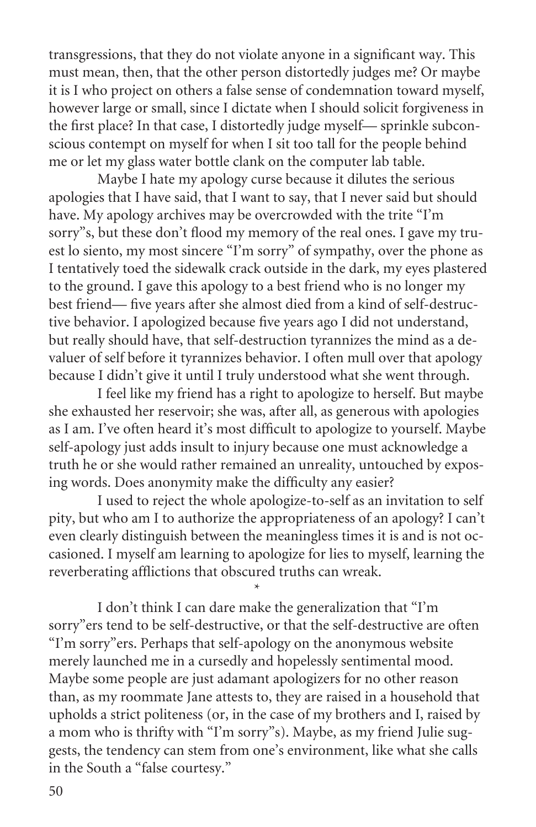transgressions, that they do not violate anyone in a significant way. This must mean, then, that the other person distortedly judges me? Or maybe it is I who project on others a false sense of condemnation toward myself, however large or small, since I dictate when I should solicit forgiveness in the first place? In that case, I distortedly judge myself— sprinkle subconscious contempt on myself for when I sit too tall for the people behind me or let my glass water bottle clank on the computer lab table.

Maybe I hate my apology curse because it dilutes the serious apologies that I have said, that I want to say, that I never said but should have. My apology archives may be overcrowded with the trite "I'm sorry"s, but these don't flood my memory of the real ones. I gave my truest lo siento, my most sincere "I'm sorry" of sympathy, over the phone as I tentatively toed the sidewalk crack outside in the dark, my eyes plastered to the ground. I gave this apology to a best friend who is no longer my best friend— five years after she almost died from a kind of self-destructive behavior. I apologized because five years ago I did not understand, but really should have, that self-destruction tyrannizes the mind as a devaluer of self before it tyrannizes behavior. I often mull over that apology because I didn't give it until I truly understood what she went through.

I feel like my friend has a right to apologize to herself. But maybe she exhausted her reservoir; she was, after all, as generous with apologies as I am. I've often heard it's most difficult to apologize to yourself. Maybe self-apology just adds insult to injury because one must acknowledge a truth he or she would rather remained an unreality, untouched by exposing words. Does anonymity make the difficulty any easier?

I used to reject the whole apologize-to-self as an invitation to self pity, but who am I to authorize the appropriateness of an apology? I can't even clearly distinguish between the meaningless times it is and is not occasioned. I myself am learning to apologize for lies to myself, learning the reverberating afflictions that obscured truths can wreak.

 $\star$ 

I don't think I can dare make the generalization that "I'm sorry"ers tend to be self-destructive, or that the self-destructive are often "I'm sorry"ers. Perhaps that self-apology on the anonymous website merely launched me in a cursedly and hopelessly sentimental mood. Maybe some people are just adamant apologizers for no other reason than, as my roommate Jane attests to, they are raised in a household that upholds a strict politeness (or, in the case of my brothers and I, raised by a mom who is thrifty with "I'm sorry"s). Maybe, as my friend Julie suggests, the tendency can stem from one's environment, like what she calls in the South a "false courtesy."